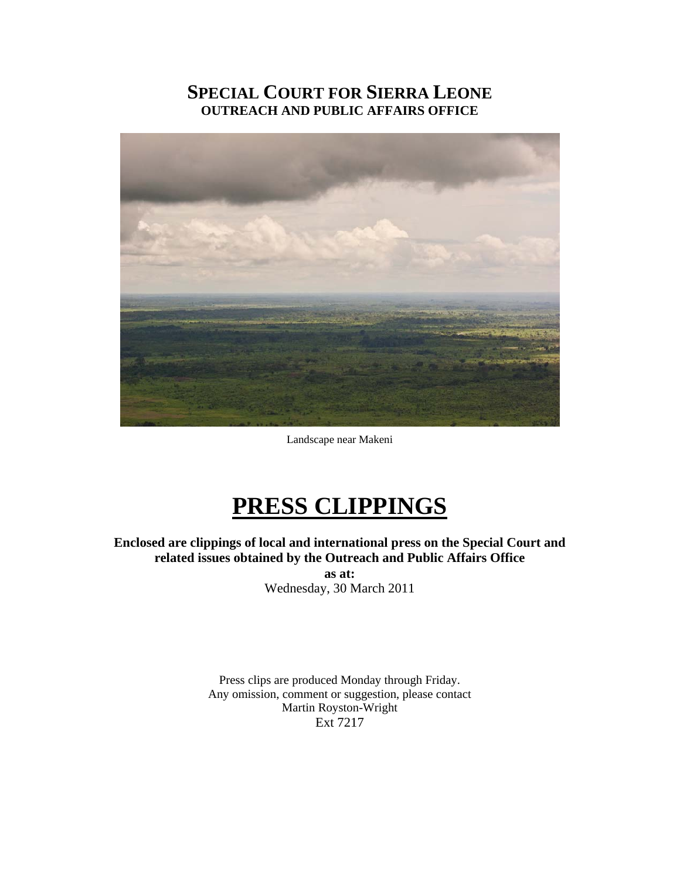# **SPECIAL COURT FOR SIERRA LEONE OUTREACH AND PUBLIC AFFAIRS OFFICE**



Landscape near Makeni

# **PRESS CLIPPINGS**

**Enclosed are clippings of local and international press on the Special Court and related issues obtained by the Outreach and Public Affairs Office as at:**  Wednesday, 30 March 2011

> Press clips are produced Monday through Friday. Any omission, comment or suggestion, please contact Martin Royston-Wright Ext 7217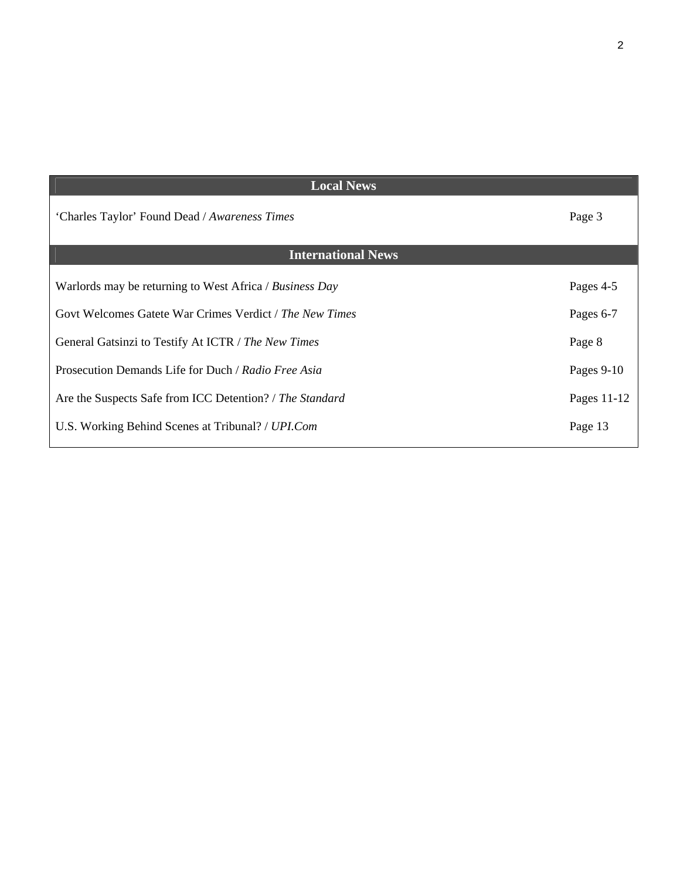| <b>Local News</b>                                        |             |
|----------------------------------------------------------|-------------|
| 'Charles Taylor' Found Dead / Awareness Times            | Page 3      |
| <b>International News</b>                                |             |
| Warlords may be returning to West Africa / Business Day  | Pages 4-5   |
| Govt Welcomes Gatete War Crimes Verdict / The New Times  | Pages 6-7   |
| General Gatsinzi to Testify At ICTR / The New Times      | Page 8      |
| Prosecution Demands Life for Duch / Radio Free Asia      | Pages 9-10  |
| Are the Suspects Safe from ICC Detention? / The Standard | Pages 11-12 |
| U.S. Working Behind Scenes at Tribunal? / UPI.Com        | Page 13     |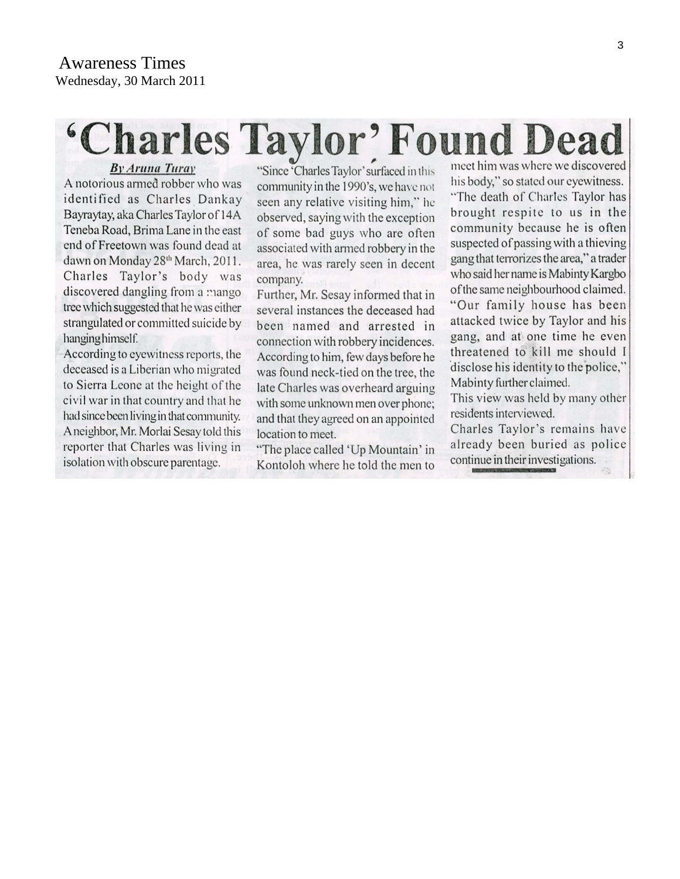# 'Charles Taylor' Found Dead

**By Aruna Turay** 

A notorious armed robber who was identified as Charles Dankay Bayraytay, aka Charles Taylor of 14A Teneba Road, Brima Lane in the east end of Freetown was found dead at dawn on Monday 28th March, 2011. Charles Taylor's body was discovered dangling from a mango tree which suggested that he was either strangulated or committed suicide by hanging himself.

According to eyewitness reports, the deceased is a Liberian who migrated to Sierra Leone at the height of the civil war in that country and that he had since been living in that community. A neighbor, Mr. Morlai Sesay told this reporter that Charles was living in isolation with obscure parentage.

"Since 'Charles Taylor' surfaced in this community in the 1990's, we have not seen any relative visiting him," he observed, saying with the exception of some bad guys who are often associated with armed robbery in the area, he was rarely seen in decent company.

Further, Mr. Sesay informed that in several instances the deceased had been named and arrested in connection with robbery incidences. According to him, few days before he was found neck-tied on the tree, the late Charles was overheard arguing with some unknown men over phone; and that they agreed on an appointed location to meet.

"The place called 'Up Mountain' in Kontoloh where he told the men to meet him was where we discovered his body," so stated our eyewitness. "The death of Charles Taylor has brought respite to us in the community because he is often suspected of passing with a thieving gang that terrorizes the area," a trader who said her name is Mabinty Kargbo of the same neighbourhood claimed. "Our family house has been attacked twice by Taylor and his gang, and at one time he even threatened to kill me should I disclose his identity to the police," Mabinty further claimed.

This view was held by many other residents interviewed.

Charles Taylor's remains have already been buried as police continue in their investigations.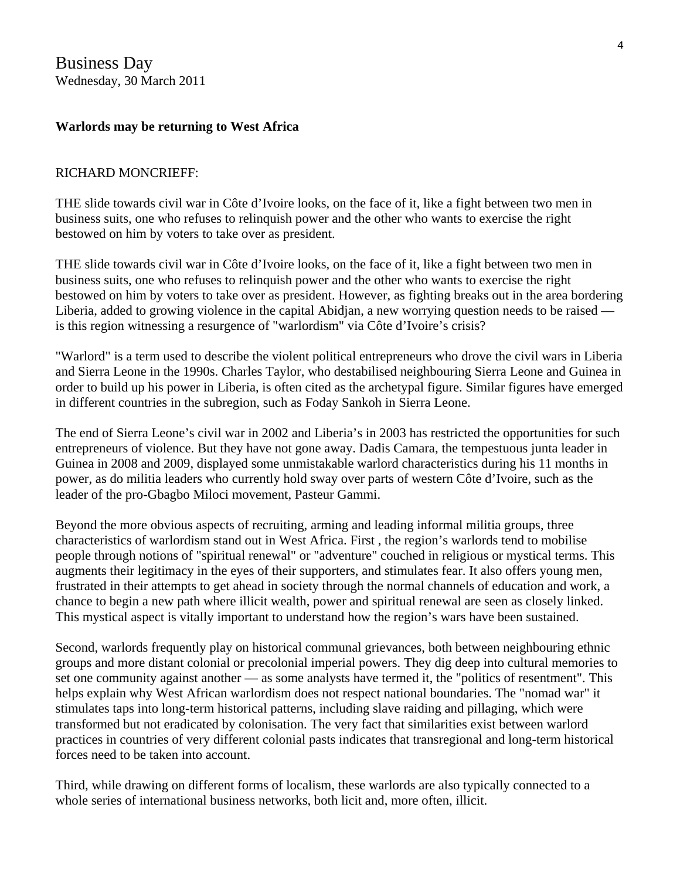Business Day Wednesday, 30 March 2011

#### **Warlords may be returning to West Africa**

#### RICHARD MONCRIEFF:

THE slide towards civil war in Côte d'Ivoire looks, on the face of it, like a fight between two men in business suits, one who refuses to relinquish power and the other who wants to exercise the right bestowed on him by voters to take over as president.

THE slide towards civil war in Côte d'Ivoire looks, on the face of it, like a fight between two men in business suits, one who refuses to relinquish power and the other who wants to exercise the right bestowed on him by voters to take over as president. However, as fighting breaks out in the area bordering Liberia, added to growing violence in the capital Abidjan, a new worrying question needs to be raised is this region witnessing a resurgence of "warlordism" via Côte d'Ivoire's crisis?

"Warlord" is a term used to describe the violent political entrepreneurs who drove the civil wars in Liberia and Sierra Leone in the 1990s. Charles Taylor, who destabilised neighbouring Sierra Leone and Guinea in order to build up his power in Liberia, is often cited as the archetypal figure. Similar figures have emerged in different countries in the subregion, such as Foday Sankoh in Sierra Leone.

The end of Sierra Leone's civil war in 2002 and Liberia's in 2003 has restricted the opportunities for such entrepreneurs of violence. But they have not gone away. Dadis Camara, the tempestuous junta leader in Guinea in 2008 and 2009, displayed some unmistakable warlord characteristics during his 11 months in power, as do militia leaders who currently hold sway over parts of western Côte d'Ivoire, such as the leader of the pro-Gbagbo Miloci movement, Pasteur Gammi.

Beyond the more obvious aspects of recruiting, arming and leading informal militia groups, three characteristics of warlordism stand out in West Africa. First , the region's warlords tend to mobilise people through notions of "spiritual renewal" or "adventure" couched in religious or mystical terms. This augments their legitimacy in the eyes of their supporters, and stimulates fear. It also offers young men, frustrated in their attempts to get ahead in society through the normal channels of education and work, a chance to begin a new path where illicit wealth, power and spiritual renewal are seen as closely linked. This mystical aspect is vitally important to understand how the region's wars have been sustained.

Second, warlords frequently play on historical communal grievances, both between neighbouring ethnic groups and more distant colonial or precolonial imperial powers. They dig deep into cultural memories to set one community against another — as some analysts have termed it, the "politics of resentment". This helps explain why West African warlordism does not respect national boundaries. The "nomad war" it stimulates taps into long-term historical patterns, including slave raiding and pillaging, which were transformed but not eradicated by colonisation. The very fact that similarities exist between warlord practices in countries of very different colonial pasts indicates that transregional and long-term historical forces need to be taken into account.

Third, while drawing on different forms of localism, these warlords are also typically connected to a whole series of international business networks, both licit and, more often, illicit.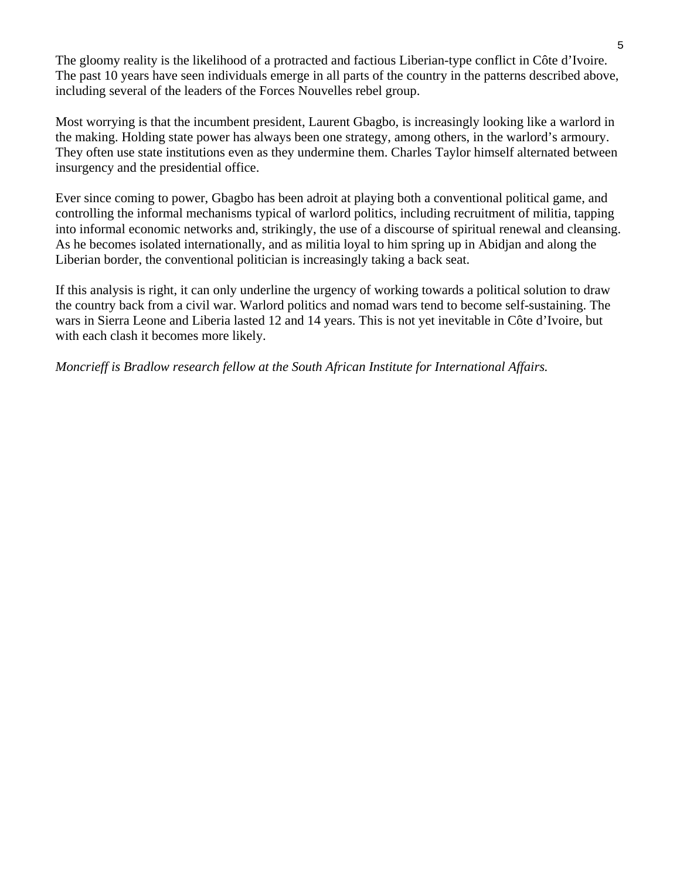The gloomy reality is the likelihood of a protracted and factious Liberian-type conflict in Côte d'Ivoire. The past 10 years have seen individuals emerge in all parts of the country in the patterns described above, including several of the leaders of the Forces Nouvelles rebel group.

Most worrying is that the incumbent president, Laurent Gbagbo, is increasingly looking like a warlord in the making. Holding state power has always been one strategy, among others, in the warlord's armoury. They often use state institutions even as they undermine them. Charles Taylor himself alternated between insurgency and the presidential office.

Ever since coming to power, Gbagbo has been adroit at playing both a conventional political game, and controlling the informal mechanisms typical of warlord politics, including recruitment of militia, tapping into informal economic networks and, strikingly, the use of a discourse of spiritual renewal and cleansing. As he becomes isolated internationally, and as militia loyal to him spring up in Abidjan and along the Liberian border, the conventional politician is increasingly taking a back seat.

If this analysis is right, it can only underline the urgency of working towards a political solution to draw the country back from a civil war. Warlord politics and nomad wars tend to become self-sustaining. The wars in Sierra Leone and Liberia lasted 12 and 14 years. This is not yet inevitable in Côte d'Ivoire, but with each clash it becomes more likely.

*Moncrieff is Bradlow research fellow at the South African Institute for International Affairs.*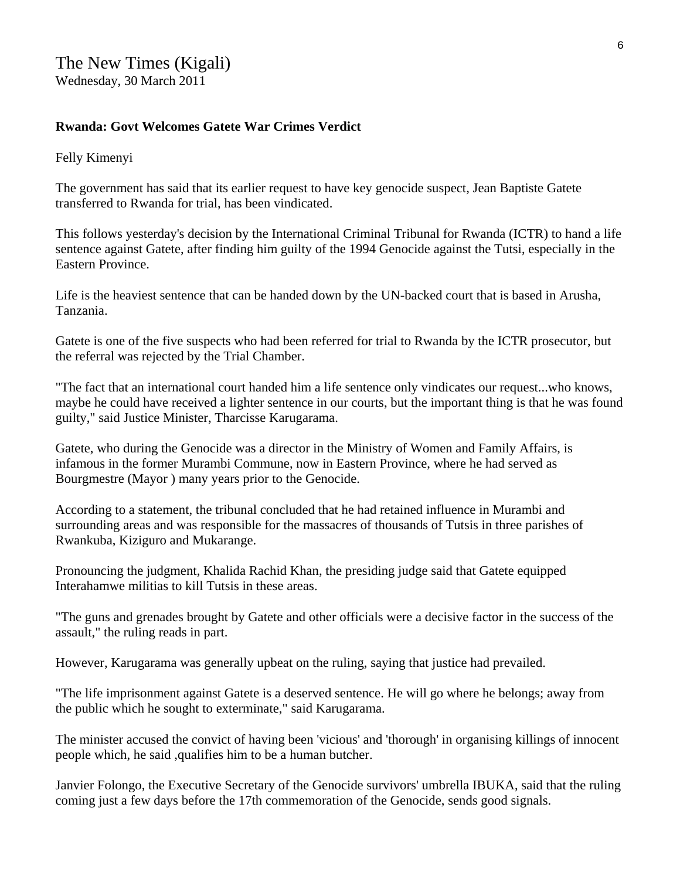#### **Rwanda: Govt Welcomes Gatete War Crimes Verdict**

Felly Kimenyi

The government has said that its earlier request to have key genocide suspect, Jean Baptiste Gatete transferred to Rwanda for trial, has been vindicated.

This follows yesterday's decision by the International Criminal Tribunal for Rwanda (ICTR) to hand a life sentence against Gatete, after finding him guilty of the 1994 Genocide against the Tutsi, especially in the Eastern Province.

Life is the heaviest sentence that can be handed down by the UN-backed court that is based in Arusha, Tanzania.

Gatete is one of the five suspects who had been referred for trial to Rwanda by the ICTR prosecutor, but the referral was rejected by the Trial Chamber.

"The fact that an international court handed him a life sentence only vindicates our request...who knows, maybe he could have received a lighter sentence in our courts, but the important thing is that he was found guilty," said Justice Minister, Tharcisse Karugarama.

Gatete, who during the Genocide was a director in the Ministry of Women and Family Affairs, is infamous in the former Murambi Commune, now in Eastern Province, where he had served as Bourgmestre (Mayor ) many years prior to the Genocide.

According to a statement, the tribunal concluded that he had retained influence in Murambi and surrounding areas and was responsible for the massacres of thousands of Tutsis in three parishes of Rwankuba, Kiziguro and Mukarange.

Pronouncing the judgment, Khalida Rachid Khan, the presiding judge said that Gatete equipped Interahamwe militias to kill Tutsis in these areas.

"The guns and grenades brought by Gatete and other officials were a decisive factor in the success of the assault," the ruling reads in part.

However, Karugarama was generally upbeat on the ruling, saying that justice had prevailed.

"The life imprisonment against Gatete is a deserved sentence. He will go where he belongs; away from the public which he sought to exterminate," said Karugarama.

The minister accused the convict of having been 'vicious' and 'thorough' in organising killings of innocent people which, he said ,qualifies him to be a human butcher.

Janvier Folongo, the Executive Secretary of the Genocide survivors' umbrella IBUKA, said that the ruling coming just a few days before the 17th commemoration of the Genocide, sends good signals.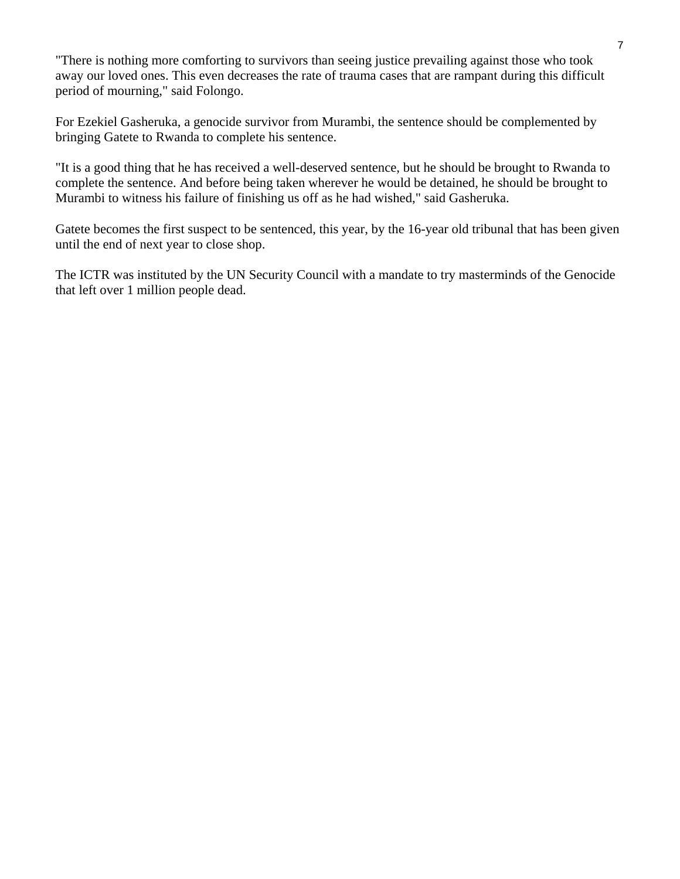"There is nothing more comforting to survivors than seeing justice prevailing against those who took away our loved ones. This even decreases the rate of trauma cases that are rampant during this difficult period of mourning," said Folongo.

For Ezekiel Gasheruka, a genocide survivor from Murambi, the sentence should be complemented by bringing Gatete to Rwanda to complete his sentence.

"It is a good thing that he has received a well-deserved sentence, but he should be brought to Rwanda to complete the sentence. And before being taken wherever he would be detained, he should be brought to Murambi to witness his failure of finishing us off as he had wished," said Gasheruka.

Gatete becomes the first suspect to be sentenced, this year, by the 16-year old tribunal that has been given until the end of next year to close shop.

The ICTR was instituted by the UN Security Council with a mandate to try masterminds of the Genocide that left over 1 million people dead.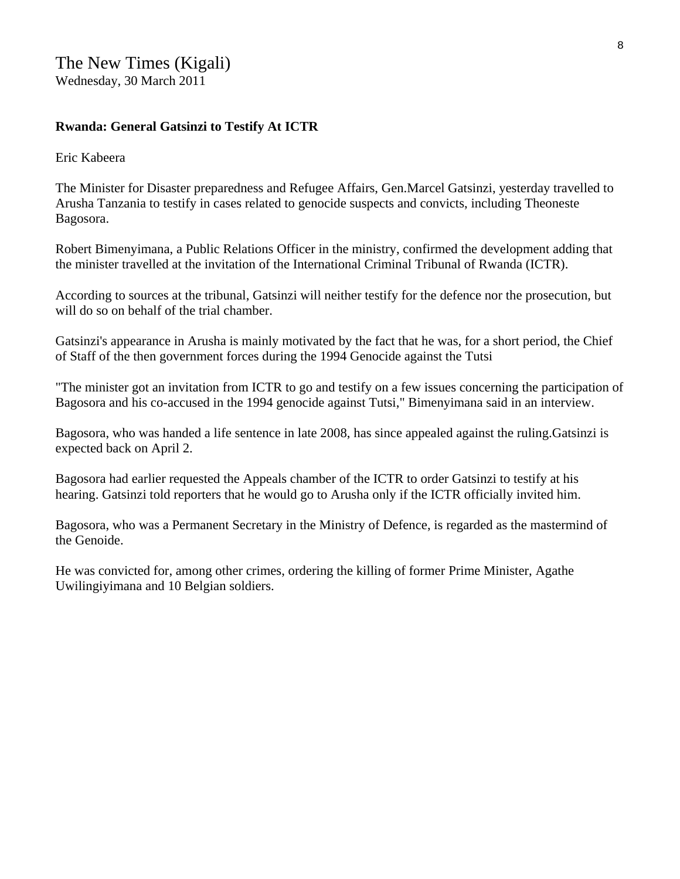### **Rwanda: General Gatsinzi to Testify At ICTR**

Eric Kabeera

The Minister for Disaster preparedness and Refugee Affairs, Gen.Marcel Gatsinzi, yesterday travelled to Arusha Tanzania to testify in cases related to genocide suspects and convicts, including Theoneste Bagosora.

Robert Bimenyimana, a Public Relations Officer in the ministry, confirmed the development adding that the minister travelled at the invitation of the International Criminal Tribunal of Rwanda (ICTR).

According to sources at the tribunal, Gatsinzi will neither testify for the defence nor the prosecution, but will do so on behalf of the trial chamber.

Gatsinzi's appearance in Arusha is mainly motivated by the fact that he was, for a short period, the Chief of Staff of the then government forces during the 1994 Genocide against the Tutsi

"The minister got an invitation from ICTR to go and testify on a few issues concerning the participation of Bagosora and his co-accused in the 1994 genocide against Tutsi," Bimenyimana said in an interview.

Bagosora, who was handed a life sentence in late 2008, has since appealed against the ruling.Gatsinzi is expected back on April 2.

Bagosora had earlier requested the Appeals chamber of the ICTR to order Gatsinzi to testify at his hearing. Gatsinzi told reporters that he would go to Arusha only if the ICTR officially invited him.

Bagosora, who was a Permanent Secretary in the Ministry of Defence, is regarded as the mastermind of the Genoide.

He was convicted for, among other crimes, ordering the killing of former Prime Minister, Agathe Uwilingiyimana and 10 Belgian soldiers.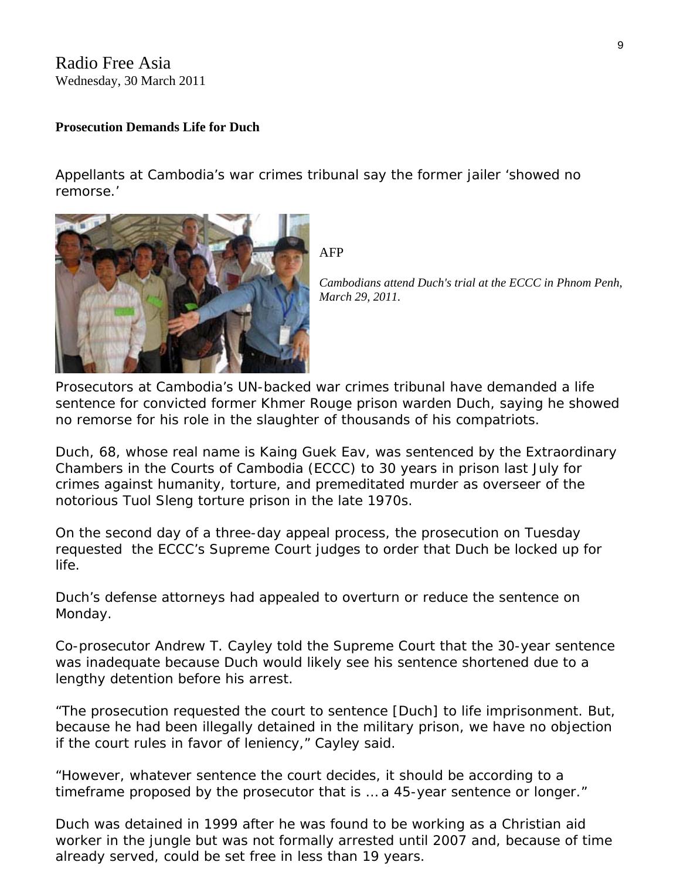Radio Free Asia Wednesday, 30 March 2011

#### **Prosecution Demands Life for Duch**

Appellants at Cambodia's war crimes tribunal say the former jailer 'showed no remorse.'



AFP

*Cambodians attend Duch's trial at the ECCC in Phnom P enh, March 29, 2011.* 

Prosecutors at Cambodia's UN-backed war crimes tribunal have demanded a life sentence for convicted former Khmer Rouge prison warden Duch, saying he showed no remorse for his role in the slaughter of thousands of his compatriots.

Duch, 68, whose real name is Kaing Guek Eav, was sentenced by the Extraordinary Chambers in the Courts of Cambodia (ECCC) to 30 years in prison last July for crimes against humanity, torture, and premeditated murder as overseer of the notorious Tuol Sleng torture prison in the late 1970s.

On the second day of a three-day appeal process, the prosecution on Tuesday requested the ECCC's Supreme Court judges to order that Duch be locked up for life.

Duch's defense attorneys had appealed to overturn or reduce the sentence on Monday.

Co-prosecutor Andrew T. Cayley told the Supreme Court that the 30-year sentence was inadequate because Duch would likely see his sentence shortened due to a lengthy detention before his arrest.

"The prosecution requested the court to sentence [Duch] to life imprisonment. But, because he had been illegally detained in the military prison, we have no objection if the court rules in favor of leniency," Cayley said.

"However, whatever sentence the court decides, it should be according to a timeframe proposed by the prosecutor that is … a 45-year sentence or longer."

Duch was detained in 1999 after he was found to be working as a Christian aid worker in the jungle but was not formally arrested until 2007 and, because of time already served, could be set free in less than 19 years.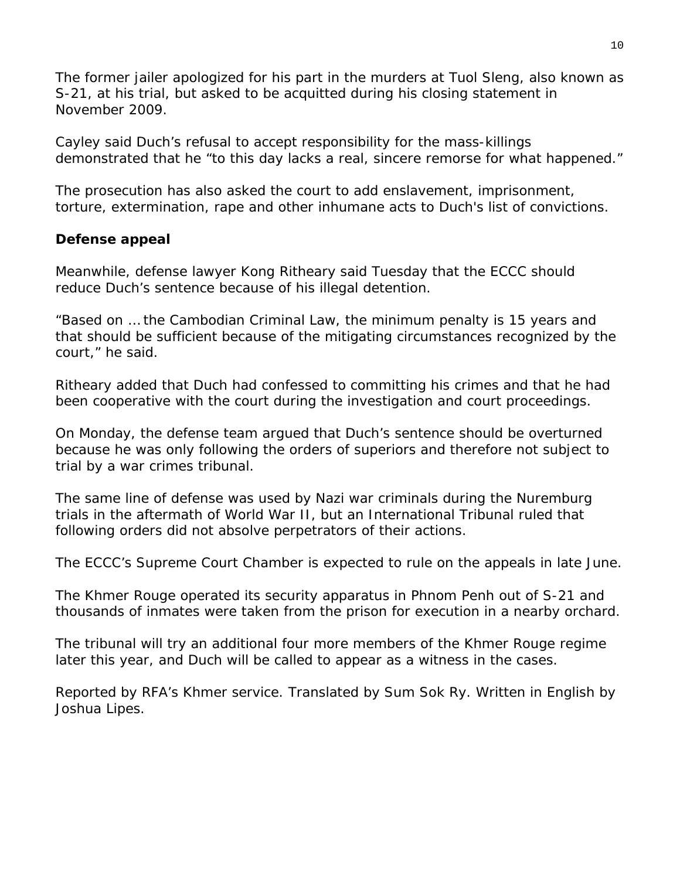The former jailer apologized for his part in the murders at Tuol Sleng, also known as S-21, at his trial, but asked to be acquitted during his closing statement in November 2009.

Cayley said Duch's refusal to accept responsibility for the mass-killings demonstrated that he "to this day lacks a real, sincere remorse for what happened."

The prosecution has also asked the court to add enslavement, imprisonment, torture, extermination, rape and other inhumane acts to Duch's list of convictions.

## **Defense appeal**

Meanwhile, defense lawyer Kong Ritheary said Tuesday that the ECCC should reduce Duch's sentence because of his illegal detention.

"Based on … the Cambodian Criminal Law, the minimum penalty is 15 years and that should be sufficient because of the mitigating circumstances recognized by the court," he said.

Ritheary added that Duch had confessed to committing his crimes and that he had been cooperative with the court during the investigation and court proceedings.

On Monday, the defense team argued that Duch's sentence should be overturned because he was only following the orders of superiors and therefore not subject to trial by a war crimes tribunal.

The same line of defense was used by Nazi war criminals during the Nuremburg trials in the aftermath of World War II, but an International Tribunal ruled that following orders did not absolve perpetrators of their actions.

The ECCC's Supreme Court Chamber is expected to rule on the appeals in late June.

The Khmer Rouge operated its security apparatus in Phnom Penh out of S-21 and thousands of inmates were taken from the prison for execution in a nearby orchard.

The tribunal will try an additional four more members of the Khmer Rouge regime later this year, and Duch will be called to appear as a witness in the cases.

*Reported by RFA's Khmer service. Translated by Sum Sok Ry. Written in English by Joshua Lipes.*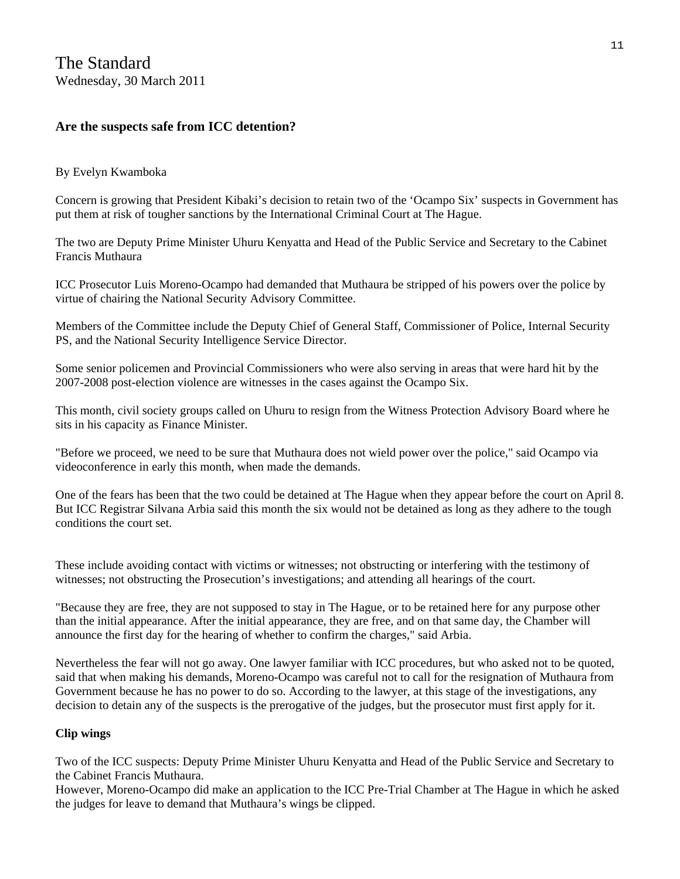#### **Are the suspects safe from ICC detention?**

#### By Evelyn Kwamboka

Concern is growing that President Kibaki's decision to retain two of the 'Ocampo Six' suspects in Government has put them at risk of tougher sanctions by the International Criminal Court at The Hague.

The two are Deputy Prime Minister Uhuru Kenyatta and Head of the Public Service and Secretary to the Cabinet Francis Muthaura

ICC Prosecutor Luis Moreno-Ocampo had demanded that Muthaura be stripped of his powers over the police by virtue of chairing the National Security Advisory Committee.

Members of the Committee include the Deputy Chief of General Staff, Commissioner of Police, Internal Security PS, and the National Security Intelligence Service Director.

Some senior policemen and Provincial Commissioners who were also serving in areas that were hard hit by the 2007-2008 post-election violence are witnesses in the cases against the Ocampo Six.

This month, civil society groups called on Uhuru to resign from the Witness Protection Advisory Board where he sits in his capacity as Finance Minister.

"Before we proceed, we need to be sure that Muthaura does not wield power over the police," said Ocampo via videoconference in early this month, when made the demands.

One of the fears has been that the two could be detained at The Hague when they appear before the court on April 8. But ICC Registrar Silvana Arbia said this month the six would not be detained as long as they adhere to the tough conditions the court set.

These include avoiding contact with victims or witnesses; not obstructing or interfering with the testimony of witnesses; not obstructing the Prosecution's investigations; and attending all hearings of the court.

"Because they are free, they are not supposed to stay in The Hague, or to be retained here for any purpose other than the initial appearance. After the initial appearance, they are free, and on that same day, the Chamber will announce the first day for the hearing of whether to confirm the charges," said Arbia.

Nevertheless the fear will not go away. One lawyer familiar with ICC procedures, but who asked not to be quoted, said that when making his demands, Moreno-Ocampo was careful not to call for the resignation of Muthaura from Government because he has no power to do so. According to the lawyer, at this stage of the investigations, any decision to detain any of the suspects is the prerogative of the judges, but the prosecutor must first apply for it.

#### **Clip wings**

Two of the ICC suspects: Deputy Prime Minister Uhuru Kenyatta and Head of the Public Service and Secretary to the Cabinet Francis Muthaura.

However, Moreno-Ocampo did make an application to the ICC Pre-Trial Chamber at The Hague in which he asked the judges for leave to demand that Muthaura's wings be clipped.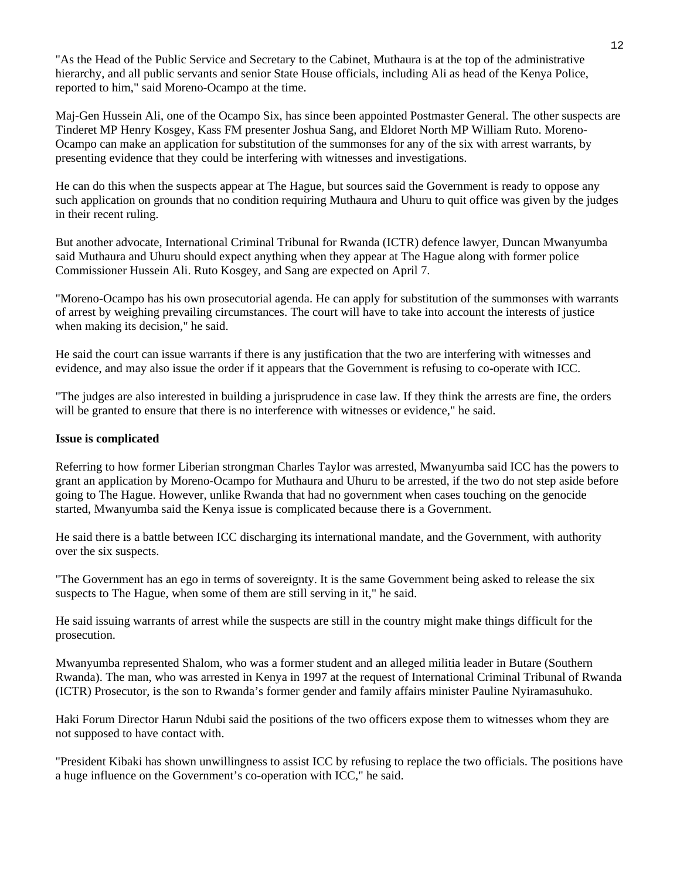"As the Head of the Public Service and Secretary to the Cabinet, Muthaura is at the top of the administrative hierarchy, and all public servants and senior State House officials, including Ali as head of the Kenya Police, reported to him," said Moreno-Ocampo at the time.

Maj-Gen Hussein Ali, one of the Ocampo Six, has since been appointed Postmaster General. The other suspects are Tinderet MP Henry Kosgey, Kass FM presenter Joshua Sang, and Eldoret North MP William Ruto. Moreno-Ocampo can make an application for substitution of the summonses for any of the six with arrest warrants, by presenting evidence that they could be interfering with witnesses and investigations.

He can do this when the suspects appear at The Hague, but sources said the Government is ready to oppose any such application on grounds that no condition requiring Muthaura and Uhuru to quit office was given by the judges in their recent ruling.

But another advocate, International Criminal Tribunal for Rwanda (ICTR) defence lawyer, Duncan Mwanyumba said Muthaura and Uhuru should expect anything when they appear at The Hague along with former police Commissioner Hussein Ali. Ruto Kosgey, and Sang are expected on April 7.

"Moreno-Ocampo has his own prosecutorial agenda. He can apply for substitution of the summonses with warrants of arrest by weighing prevailing circumstances. The court will have to take into account the interests of justice when making its decision," he said.

He said the court can issue warrants if there is any justification that the two are interfering with witnesses and evidence, and may also issue the order if it appears that the Government is refusing to co-operate with ICC.

"The judges are also interested in building a jurisprudence in case law. If they think the arrests are fine, the orders will be granted to ensure that there is no interference with witnesses or evidence," he said.

#### **Issue is complicated**

Referring to how former Liberian strongman Charles Taylor was arrested, Mwanyumba said ICC has the powers to grant an application by Moreno-Ocampo for Muthaura and Uhuru to be arrested, if the two do not step aside before going to The Hague. However, unlike Rwanda that had no government when cases touching on the genocide started, Mwanyumba said the Kenya issue is complicated because there is a Government.

He said there is a battle between ICC discharging its international mandate, and the Government, with authority over the six suspects.

"The Government has an ego in terms of sovereignty. It is the same Government being asked to release the six suspects to The Hague, when some of them are still serving in it," he said.

He said issuing warrants of arrest while the suspects are still in the country might make things difficult for the prosecution.

Mwanyumba represented Shalom, who was a former student and an alleged militia leader in Butare (Southern Rwanda). The man, who was arrested in Kenya in 1997 at the request of International Criminal Tribunal of Rwanda (ICTR) Prosecutor, is the son to Rwanda's former gender and family affairs minister Pauline Nyiramasuhuko.

Haki Forum Director Harun Ndubi said the positions of the two officers expose them to witnesses whom they are not supposed to have contact with.

"President Kibaki has shown unwillingness to assist ICC by refusing to replace the two officials. The positions have a huge influence on the Government's co-operation with ICC," he said.